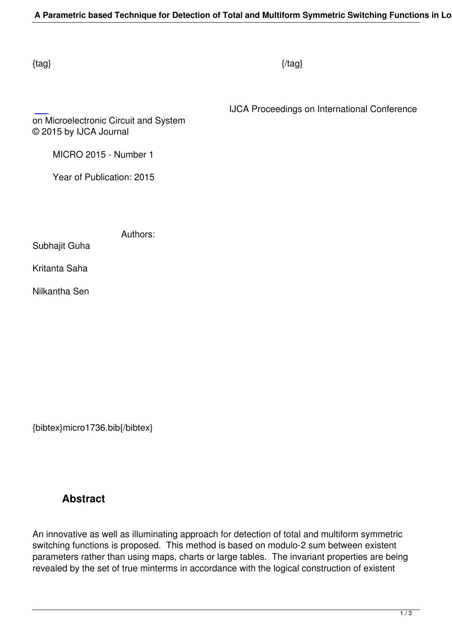$\{tag\}$ 

IJCA Proceedings on International Conference

on Microelectronic Circuit and System © 2015 by IJCA Journal

MICRO 2015 - Number 1

Year of Publication: 2015

Authors:

Subhajit Guha

Kritanta Saha

Nilkantha Sen

{bibtex}micro1736.bib{/bibtex}

## **Abstract**

An innovative as well as illuminating approach for detection of total and multiform symmetric switching functions is proposed. This method is based on modulo-2 sum between existent parameters rather than using maps, charts or large tables. The invariant properties are being revealed by the set of true minterms in accordance with the logical construction of existent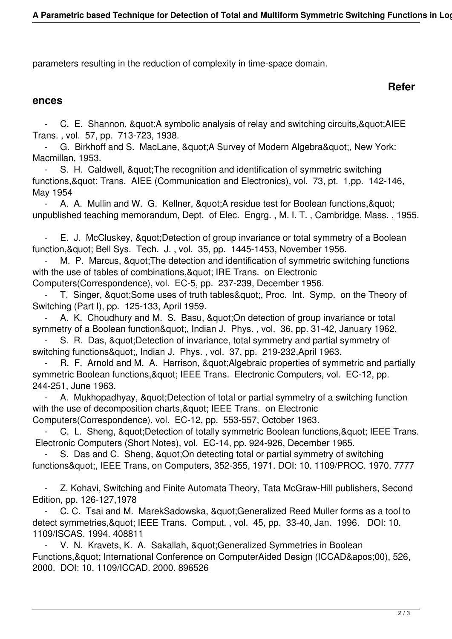parameters resulting in the reduction of complexity in time-space domain.

## **Refer**

## **ences**

C. E. Shannon, & quot; A symbolic analysis of relay and switching circuits, & quot; AIEE Trans. , vol. 57, pp. 713-723, 1938.

- G. Birkhoff and S. MacLane, & quot; A Survey of Modern Algebra & quot;, New York: Macmillan, 1953.

S. H. Caldwell, & quot; The recognition and identification of symmetric switching functions, & quot; Trans. AIEE (Communication and Electronics), vol. 73, pt. 1, pp. 142-146, May 1954

A. A. Mullin and W. G. Kellner, & quot; A residue test for Boolean functions, & quot; unpublished teaching memorandum, Dept. of Elec. Engrg. , M. I. T. , Cambridge, Mass. , 1955.

E. J. McCluskey, & quot; Detection of group invariance or total symmetry of a Boolean function, & quot; Bell Sys. Tech. J., vol. 35, pp. 1445-1453, November 1956.

M. P. Marcus, & quot; The detection and identification of symmetric switching functions with the use of tables of combinations, & quot; IRE Trans. on Electronic

Computers(Correspondence), vol. EC-5, pp. 237-239, December 1956.

T. Singer, & quot; Some uses of truth tables & quot;, Proc. Int. Symp. on the Theory of Switching (Part I), pp. 125-133, April 1959.

A. K. Choudhury and M. S. Basu, & quot; On detection of group invariance or total symmetry of a Boolean function&quot:, Indian J. Phys., vol. 36, pp. 31-42, January 1962.

S. R. Das, & quot; Detection of invariance, total symmetry and partial symmetry of switching functions", Indian J. Phys., vol. 37, pp. 219-232,April 1963.

R. F. Arnold and M. A. Harrison, & quot; Algebraic properties of symmetric and partially symmetric Boolean functions, & quot; IEEE Trans. Electronic Computers, vol. EC-12, pp. 244-251, June 1963.

A. Mukhopadhyay, & quot; Detection of total or partial symmetry of a switching function with the use of decomposition charts, & quot; IEEE Trans. on Electronic Computers(Correspondence), vol. EC-12, pp. 553-557, October 1963.

C. L. Sheng, & quot: Detection of totally symmetric Boolean functions, & quot; IEEE Trans.

Electronic Computers (Short Notes), vol. EC-14, pp. 924-926, December 1965.

S. Das and C. Sheng, & quot; On detecting total or partial symmetry of switching functions", IEEE Trans, on Computers, 352-355, 1971. DOI: 10. 1109/PROC. 1970. 7777

 - Z. Kohavi, Switching and Finite Automata Theory, Tata McGraw-Hill publishers, Second Edition, pp. 126-127,1978

C. C. Tsai and M. MarekSadowska, " Generalized Reed Muller forms as a tool to detect symmetries, & quot; IEEE Trans. Comput., vol. 45, pp. 33-40, Jan. 1996. DOI: 10. 1109/ISCAS. 1994. 408811

V. N. Kravets, K. A. Sakallah, " Generalized Symmetries in Boolean Functions, & quot; International Conference on ComputerAided Design (ICCAD& apos; 00), 526, 2000. DOI: 10. 1109/ICCAD. 2000. 896526